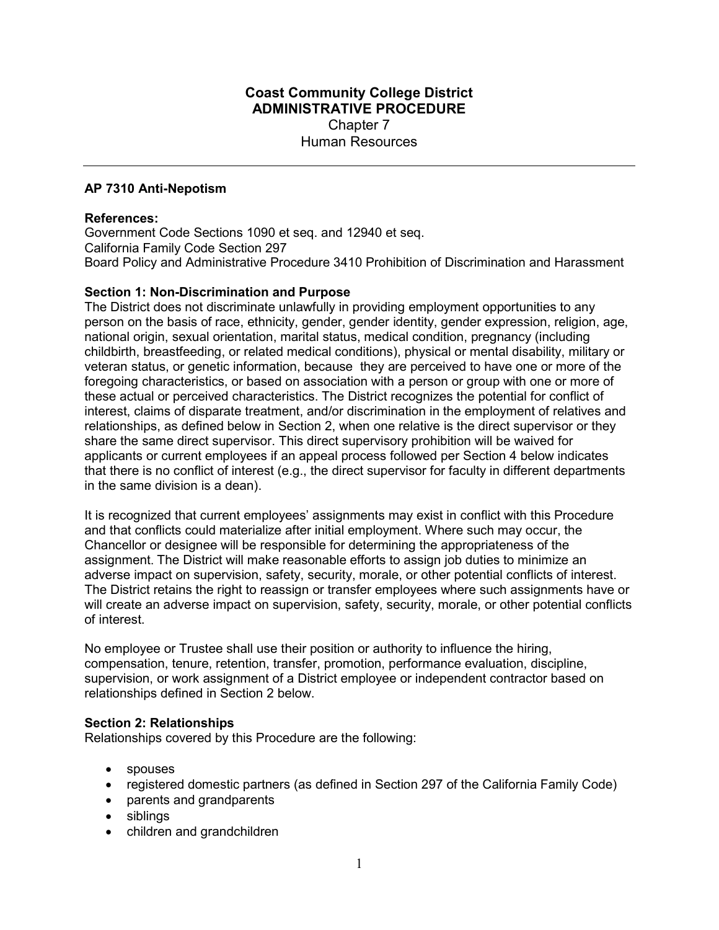# Coast Community College District ADMINISTRATIVE PROCEDURE Chapter 7 Human Resources

## AP 7310 Anti-Nepotism

#### References:

Government Code Sections 1090 et seq. and 12940 et seq. California Family Code Section 297 Board Policy and Administrative Procedure 3410 Prohibition of Discrimination and Harassment

### Section 1: Non-Discrimination and Purpose

The District does not discriminate unlawfully in providing employment opportunities to any person on the basis of race, ethnicity, gender, gender identity, gender expression, religion, age, national origin, sexual orientation, marital status, medical condition, pregnancy (including childbirth, breastfeeding, or related medical conditions), physical or mental disability, military or veteran status, or genetic information, because they are perceived to have one or more of the foregoing characteristics, or based on association with a person or group with one or more of these actual or perceived characteristics. The District recognizes the potential for conflict of interest, claims of disparate treatment, and/or discrimination in the employment of relatives and relationships, as defined below in Section 2, when one relative is the direct supervisor or they share the same direct supervisor. This direct supervisory prohibition will be waived for applicants or current employees if an appeal process followed per Section 4 below indicates that there is no conflict of interest (e.g., the direct supervisor for faculty in different departments in the same division is a dean).

It is recognized that current employees' assignments may exist in conflict with this Procedure and that conflicts could materialize after initial employment. Where such may occur, the Chancellor or designee will be responsible for determining the appropriateness of the assignment. The District will make reasonable efforts to assign job duties to minimize an adverse impact on supervision, safety, security, morale, or other potential conflicts of interest. The District retains the right to reassign or transfer employees where such assignments have or will create an adverse impact on supervision, safety, security, morale, or other potential conflicts of interest.

No employee or Trustee shall use their position or authority to influence the hiring, compensation, tenure, retention, transfer, promotion, performance evaluation, discipline, supervision, or work assignment of a District employee or independent contractor based on relationships defined in Section 2 below.

#### Section 2: Relationships

Relationships covered by this Procedure are the following:

- spouses
- registered domestic partners (as defined in Section 297 of the California Family Code)
- parents and grandparents
- siblings
- children and grandchildren